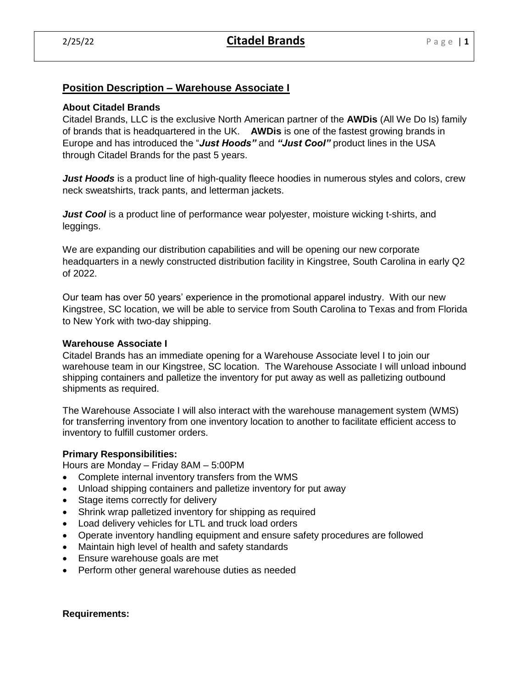# **Position Description – Warehouse Associate I**

## **About Citadel Brands**

Citadel Brands, LLC is the exclusive North American partner of the **AWDis** (All We Do Is) family of brands that is headquartered in the UK. **AWDis** is one of the fastest growing brands in Europe and has introduced the "*Just Hoods"* and *"Just Cool"* product lines in the USA through Citadel Brands for the past 5 years.

*Just Hoods* is a product line of high-quality fleece hoodies in numerous styles and colors, crew neck sweatshirts, track pants, and letterman jackets.

*Just Cool* is a product line of performance wear polyester, moisture wicking t-shirts, and leggings.

We are expanding our distribution capabilities and will be opening our new corporate headquarters in a newly constructed distribution facility in Kingstree, South Carolina in early Q2 of 2022.

Our team has over 50 years' experience in the promotional apparel industry. With our new Kingstree, SC location, we will be able to service from South Carolina to Texas and from Florida to New York with two-day shipping.

## **Warehouse Associate I**

Citadel Brands has an immediate opening for a Warehouse Associate level I to join our warehouse team in our Kingstree, SC location. The Warehouse Associate I will unload inbound shipping containers and palletize the inventory for put away as well as palletizing outbound shipments as required.

The Warehouse Associate I will also interact with the warehouse management system (WMS) for transferring inventory from one inventory location to another to facilitate efficient access to inventory to fulfill customer orders.

## **Primary Responsibilities:**

Hours are Monday – Friday 8AM – 5:00PM

- Complete internal inventory transfers from the WMS
- Unload shipping containers and palletize inventory for put away
- Stage items correctly for delivery
- Shrink wrap palletized inventory for shipping as required
- Load delivery vehicles for LTL and truck load orders
- Operate inventory handling equipment and ensure safety procedures are followed
- Maintain high level of health and safety standards
- Ensure warehouse goals are met
- Perform other general warehouse duties as needed

#### **Requirements:**